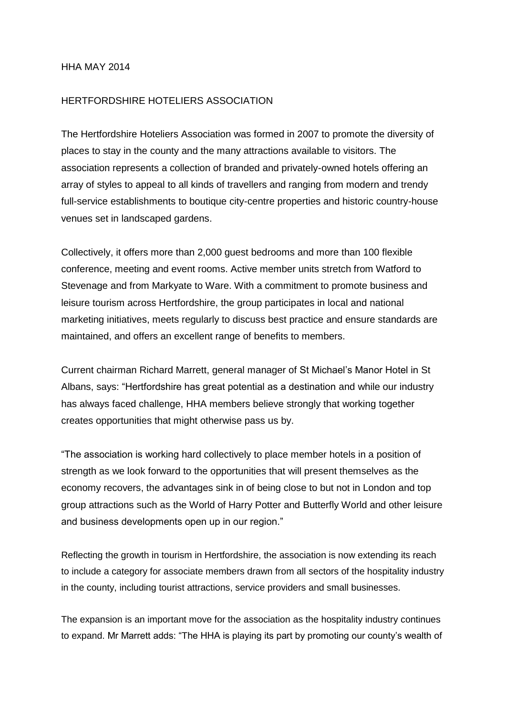## HHA MAY 2014

## HERTFORDSHIRE HOTELIERS ASSOCIATION

The Hertfordshire Hoteliers Association was formed in 2007 to promote the diversity of places to stay in the county and the many attractions available to visitors. The association represents a collection of branded and privately-owned hotels offering an array of styles to appeal to all kinds of travellers and ranging from modern and trendy full-service establishments to boutique city-centre properties and historic country-house venues set in landscaped gardens.

Collectively, it offers more than 2,000 guest bedrooms and more than 100 flexible conference, meeting and event rooms. Active member units stretch from Watford to Stevenage and from Markyate to Ware. With a commitment to promote business and leisure tourism across Hertfordshire, the group participates in local and national marketing initiatives, meets regularly to discuss best practice and ensure standards are maintained, and offers an excellent range of benefits to members.

Current chairman Richard Marrett, general manager of St Michael's Manor Hotel in St Albans, says: "Hertfordshire has great potential as a destination and while our industry has always faced challenge, HHA members believe strongly that working together creates opportunities that might otherwise pass us by.

"The association is working hard collectively to place member hotels in a position of strength as we look forward to the opportunities that will present themselves as the economy recovers, the advantages sink in of being close to but not in London and top group attractions such as the World of Harry Potter and Butterfly World and other leisure and business developments open up in our region."

Reflecting the growth in tourism in Hertfordshire, the association is now extending its reach to include a category for associate members drawn from all sectors of the hospitality industry in the county, including tourist attractions, service providers and small businesses.

The expansion is an important move for the association as the hospitality industry continues to expand. Mr Marrett adds: "The HHA is playing its part by promoting our county's wealth of